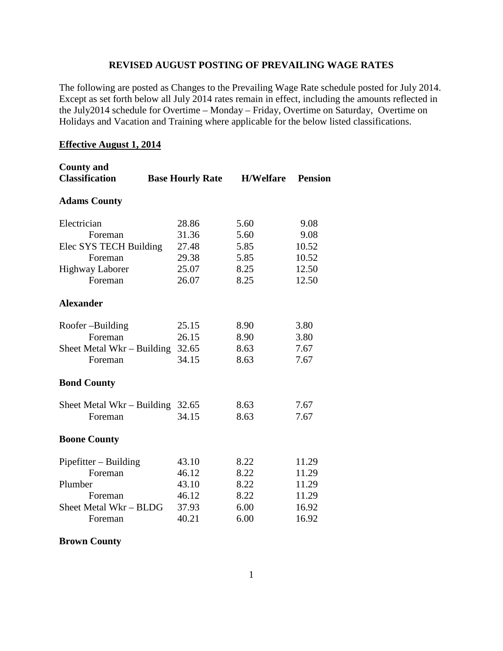#### **REVISED AUGUST POSTING OF PREVAILING WAGE RATES**

The following are posted as Changes to the Prevailing Wage Rate schedule posted for July 2014. Except as set forth below all July 2014 rates remain in effect, including the amounts reflected in the July2014 schedule for Overtime – Monday – Friday, Overtime on Saturday, Overtime on Holidays and Vacation and Training where applicable for the below listed classifications.

#### **Effective August 1, 2014**

| <b>County and</b><br><b>Classification</b> | <b>Base Hourly Rate</b> | <b>H/Welfare</b> | <b>Pension</b> |
|--------------------------------------------|-------------------------|------------------|----------------|
| <b>Adams County</b>                        |                         |                  |                |
| Electrician                                | 28.86                   | 5.60             | 9.08           |
| Foreman                                    | 31.36                   | 5.60             | 9.08           |
| Elec SYS TECH Building                     | 27.48                   | 5.85             | 10.52          |
| Foreman                                    | 29.38                   | 5.85             | 10.52          |
| <b>Highway Laborer</b>                     | 25.07                   | 8.25             | 12.50          |
| Foreman                                    | 26.07                   | 8.25             | 12.50          |
| <b>Alexander</b>                           |                         |                  |                |
| Roofer-Building                            | 25.15                   | 8.90             | 3.80           |
| Foreman                                    | 26.15                   | 8.90             | 3.80           |
| Sheet Metal Wkr – Building                 | 32.65                   | 8.63             | 7.67           |
| Foreman                                    | 34.15                   | 8.63             | 7.67           |
| <b>Bond County</b>                         |                         |                  |                |
| Sheet Metal Wkr – Building                 | 32.65                   | 8.63             | 7.67           |
| Foreman                                    | 34.15                   | 8.63             | 7.67           |
| <b>Boone County</b>                        |                         |                  |                |
| Pipefitter - Building                      | 43.10                   | 8.22             | 11.29          |
| Foreman                                    | 46.12                   | 8.22             | 11.29          |
| Plumber                                    | 43.10                   | 8.22             | 11.29          |
| Foreman                                    | 46.12                   | 8.22             | 11.29          |
| Sheet Metal Wkr - BLDG                     | 37.93                   | 6.00             | 16.92          |
| Foreman                                    | 40.21                   | 6.00             | 16.92          |

#### **Brown County**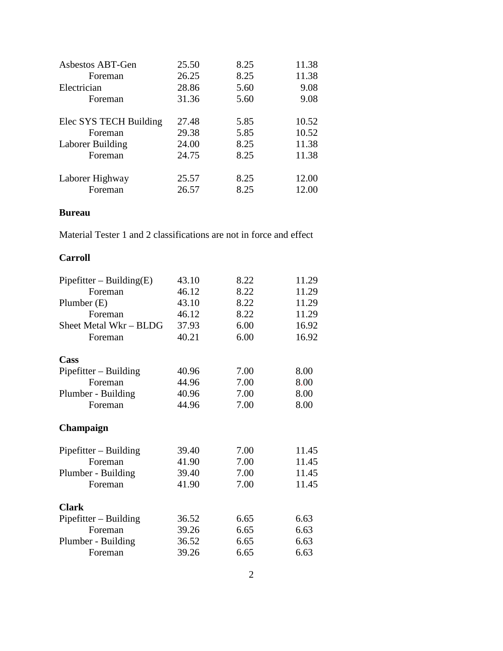| Asbestos ABT-Gen       | 25.50 | 8.25 | 11.38 |
|------------------------|-------|------|-------|
| Foreman                | 26.25 | 8.25 | 11.38 |
| Electrician            | 28.86 | 5.60 | 9.08  |
| Foreman                | 31.36 | 5.60 | 9.08  |
|                        |       |      |       |
| Elec SYS TECH Building | 27.48 | 5.85 | 10.52 |
| Foreman                | 29.38 | 5.85 | 10.52 |
| Laborer Building       | 24.00 | 8.25 | 11.38 |
| Foreman                | 24.75 | 8.25 | 11.38 |
|                        |       |      |       |
| Laborer Highway        | 25.57 | 8.25 | 12.00 |
| Foreman                | 26.57 | 8.25 | 12.00 |

#### **Bureau**

Material Tester 1 and 2 classifications are not in force and effect

### **Carroll**

| $Pipefitter - Building(E)$ | 43.10 | 8.22 | 11.29 |
|----------------------------|-------|------|-------|
| Foreman                    | 46.12 | 8.22 | 11.29 |
| Plumber $(E)$              | 43.10 | 8.22 | 11.29 |
| Foreman                    | 46.12 | 8.22 | 11.29 |
| Sheet Metal Wkr - BLDG     | 37.93 | 6.00 | 16.92 |
| Foreman                    | 40.21 | 6.00 | 16.92 |
| Cass                       |       |      |       |
| $Pipefitter - Building$    | 40.96 | 7.00 | 8.00  |
| Foreman                    | 44.96 | 7.00 | 8.00  |
| Plumber - Building         | 40.96 | 7.00 | 8.00  |
| Foreman                    | 44.96 | 7.00 | 8.00  |
| Champaign                  |       |      |       |
| $Pipefitter - Building$    | 39.40 | 7.00 | 11.45 |
| Foreman                    | 41.90 | 7.00 | 11.45 |
| Plumber - Building         | 39.40 | 7.00 | 11.45 |
| Foreman                    | 41.90 | 7.00 | 11.45 |
| <b>Clark</b>               |       |      |       |
| $Pipefitter - Building$    | 36.52 | 6.65 | 6.63  |
| Foreman                    | 39.26 | 6.65 | 6.63  |
| Plumber - Building         | 36.52 | 6.65 | 6.63  |
| Foreman                    | 39.26 | 6.65 | 6.63  |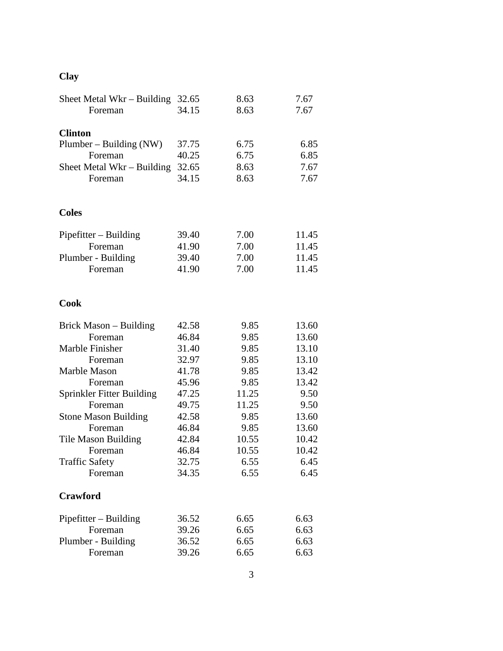# **Clay**

| Sheet Metal Wkr – Building $32.65$ |       | 8.63  | 7.67  |
|------------------------------------|-------|-------|-------|
| Foreman                            | 34.15 | 8.63  | 7.67  |
|                                    |       |       |       |
| <b>Clinton</b>                     |       |       |       |
| Plumber - Building (NW)            | 37.75 | 6.75  | 6.85  |
| Foreman                            | 40.25 | 6.75  | 6.85  |
| Sheet Metal Wkr – Building         | 32.65 | 8.63  | 7.67  |
| Foreman                            | 34.15 | 8.63  | 7.67  |
|                                    |       |       |       |
| <b>Coles</b>                       |       |       |       |
| $Pipefitter - Building$            | 39.40 | 7.00  | 11.45 |
| Foreman                            | 41.90 | 7.00  | 11.45 |
| Plumber - Building                 | 39.40 | 7.00  | 11.45 |
| Foreman                            | 41.90 | 7.00  | 11.45 |
| <b>Cook</b>                        |       |       |       |
| Brick Mason – Building             | 42.58 | 9.85  | 13.60 |
| Foreman                            | 46.84 | 9.85  | 13.60 |
| Marble Finisher                    | 31.40 | 9.85  | 13.10 |
| Foreman                            | 32.97 | 9.85  | 13.10 |
| Marble Mason                       | 41.78 | 9.85  | 13.42 |
| Foreman                            | 45.96 | 9.85  | 13.42 |
| Sprinkler Fitter Building          | 47.25 | 11.25 | 9.50  |
| Foreman                            | 49.75 | 11.25 | 9.50  |
| <b>Stone Mason Building</b>        | 42.58 | 9.85  | 13.60 |
| Foreman                            | 46.84 | 9.85  | 13.60 |
| <b>Tile Mason Building</b>         | 42.84 | 10.55 | 10.42 |
| Foreman                            | 46.84 | 10.55 | 10.42 |
| <b>Traffic Safety</b>              | 32.75 | 6.55  | 6.45  |
| Foreman                            | 34.35 | 6.55  | 6.45  |
| <b>Crawford</b>                    |       |       |       |
| $Pipefitter - Building$            | 36.52 | 6.65  | 6.63  |
| Foreman                            | 39.26 | 6.65  | 6.63  |
| Plumber - Building                 | 36.52 | 6.65  | 6.63  |
| Foreman                            | 39.26 | 6.65  | 6.63  |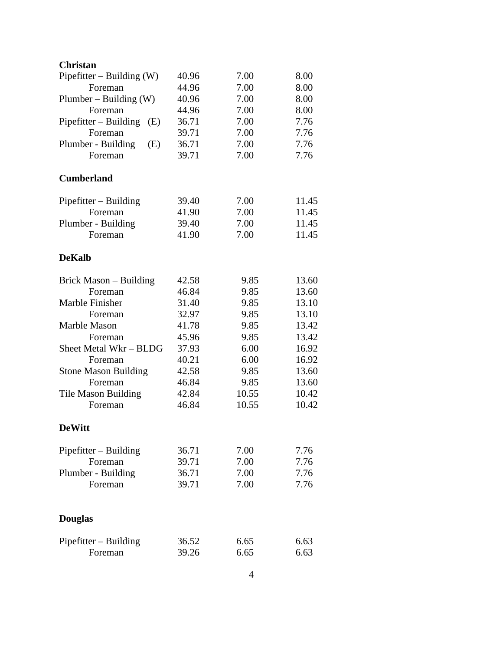| <b>Christan</b>              |       |       |       |
|------------------------------|-------|-------|-------|
| Pipefitter – Building $(W)$  | 40.96 | 7.00  | 8.00  |
| Foreman                      | 44.96 | 7.00  | 8.00  |
| Plumber – Building $(W)$     | 40.96 | 7.00  | 8.00  |
| Foreman                      | 44.96 | 7.00  | 8.00  |
| Pipefitter – Building<br>(E) | 36.71 | 7.00  | 7.76  |
| Foreman                      | 39.71 | 7.00  | 7.76  |
| Plumber - Building<br>(E)    | 36.71 | 7.00  | 7.76  |
| Foreman                      | 39.71 | 7.00  | 7.76  |
| <b>Cumberland</b>            |       |       |       |
| $Pipefitter - Building$      | 39.40 | 7.00  | 11.45 |
| Foreman                      | 41.90 | 7.00  | 11.45 |
| Plumber - Building           | 39.40 | 7.00  | 11.45 |
| Foreman                      | 41.90 | 7.00  | 11.45 |
| <b>DeKalb</b>                |       |       |       |
| Brick Mason – Building       | 42.58 | 9.85  | 13.60 |
| Foreman                      | 46.84 | 9.85  | 13.60 |
| Marble Finisher              | 31.40 | 9.85  | 13.10 |
| Foreman                      | 32.97 | 9.85  | 13.10 |
| Marble Mason                 | 41.78 | 9.85  | 13.42 |
| Foreman                      | 45.96 | 9.85  | 13.42 |
| Sheet Metal Wkr - BLDG       | 37.93 | 6.00  | 16.92 |
| Foreman                      | 40.21 | 6.00  | 16.92 |
| <b>Stone Mason Building</b>  | 42.58 | 9.85  | 13.60 |
| Foreman                      | 46.84 | 9.85  | 13.60 |
| <b>Tile Mason Building</b>   | 42.84 | 10.55 | 10.42 |
| Foreman                      | 46.84 | 10.55 | 10.42 |
| <b>DeWitt</b>                |       |       |       |
| Pipefitter - Building        | 36.71 | 7.00  | 7.76  |
| Foreman                      | 39.71 | 7.00  | 7.76  |
| Plumber - Building           | 36.71 | 7.00  | 7.76  |
| Foreman                      | 39.71 | 7.00  | 7.76  |
| <b>Douglas</b>               |       |       |       |
| Pipefitter – Building        | 36.52 | 6.65  | 6.63  |
| Foreman                      | 39.26 | 6.65  | 6.63  |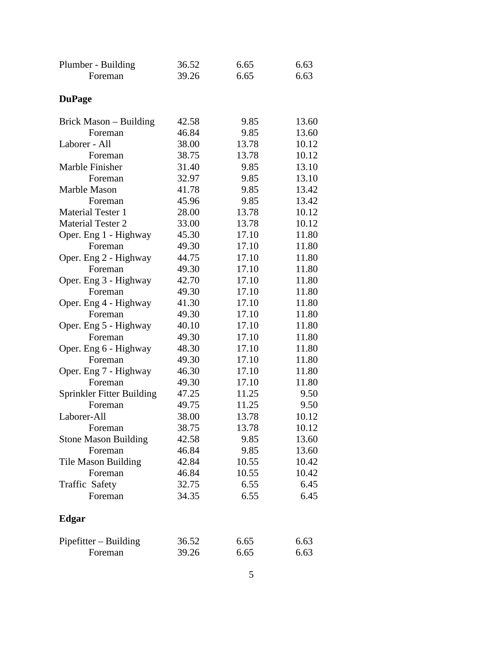| Plumber - Building          | 36.52 | 6.65  | 6.63  |
|-----------------------------|-------|-------|-------|
| Foreman                     | 39.26 | 6.65  | 6.63  |
|                             |       |       |       |
| <b>DuPage</b>               |       |       |       |
| Brick Mason - Building      | 42.58 | 9.85  | 13.60 |
| Foreman                     | 46.84 | 9.85  | 13.60 |
| Laborer - All               | 38.00 | 13.78 | 10.12 |
| Foreman                     | 38.75 | 13.78 | 10.12 |
| Marble Finisher             | 31.40 | 9.85  | 13.10 |
| Foreman                     | 32.97 | 9.85  | 13.10 |
| Marble Mason                | 41.78 | 9.85  | 13.42 |
| Foreman                     | 45.96 | 9.85  | 13.42 |
| <b>Material Tester 1</b>    | 28.00 | 13.78 | 10.12 |
| <b>Material Tester 2</b>    | 33.00 | 13.78 | 10.12 |
| Oper. Eng 1 - Highway       | 45.30 | 17.10 | 11.80 |
| Foreman                     | 49.30 | 17.10 | 11.80 |
| Oper. Eng 2 - Highway       | 44.75 | 17.10 | 11.80 |
| Foreman                     | 49.30 | 17.10 | 11.80 |
| Oper. Eng 3 - Highway       | 42.70 | 17.10 | 11.80 |
| Foreman                     | 49.30 | 17.10 | 11.80 |
| Oper. Eng 4 - Highway       | 41.30 | 17.10 | 11.80 |
| Foreman                     | 49.30 | 17.10 | 11.80 |
| Oper. Eng 5 - Highway       | 40.10 | 17.10 | 11.80 |
| Foreman                     | 49.30 | 17.10 | 11.80 |
| Oper. Eng 6 - Highway       | 48.30 | 17.10 | 11.80 |
| Foreman                     | 49.30 | 17.10 | 11.80 |
| Oper. Eng 7 - Highway       | 46.30 | 17.10 | 11.80 |
| Foreman                     | 49.30 | 17.10 | 11.80 |
| Sprinkler Fitter Building   | 47.25 | 11.25 | 9.50  |
| Foreman                     | 49.75 | 11.25 | 9.50  |
| Laborer-All                 | 38.00 | 13.78 | 10.12 |
| Foreman                     | 38.75 | 13.78 | 10.12 |
| <b>Stone Mason Building</b> | 42.58 | 9.85  | 13.60 |
| Foreman                     | 46.84 | 9.85  | 13.60 |
| <b>Tile Mason Building</b>  | 42.84 | 10.55 | 10.42 |
| Foreman                     | 46.84 | 10.55 | 10.42 |
| <b>Traffic Safety</b>       | 32.75 | 6.55  | 6.45  |
| Foreman                     | 34.35 | 6.55  | 6.45  |
| Edgar                       |       |       |       |
| $Pipefitter - Building$     | 36.52 | 6.65  | 6.63  |
| Foreman                     | 39.26 | 6.65  | 6.63  |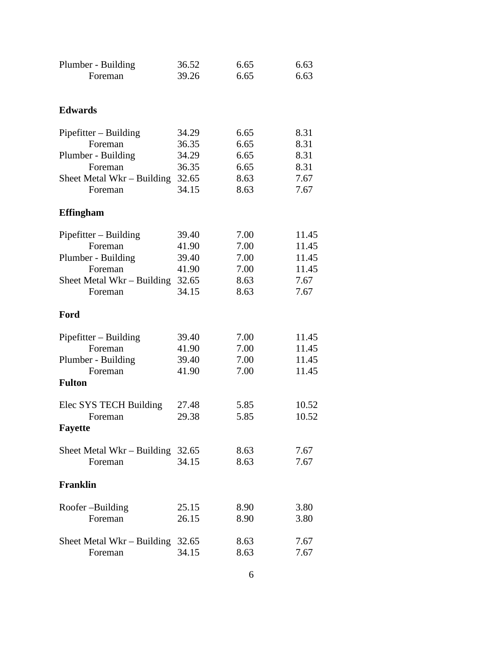| Plumber - Building                                                                   | 36.52                            | 6.65                         | 6.63                             |
|--------------------------------------------------------------------------------------|----------------------------------|------------------------------|----------------------------------|
| Foreman                                                                              | 39.26                            | 6.65                         | 6.63                             |
| <b>Edwards</b>                                                                       |                                  |                              |                                  |
| $Pipefitter - Building$                                                              | 34.29                            | 6.65                         | 8.31                             |
| Foreman                                                                              | 36.35                            | 6.65                         | 8.31                             |
| Plumber - Building                                                                   | 34.29                            | 6.65                         | 8.31                             |
| Foreman                                                                              | 36.35                            | 6.65                         | 8.31                             |
| Sheet Metal Wkr – Building                                                           | 32.65                            | 8.63                         | 7.67                             |
| Foreman                                                                              | 34.15                            | 8.63                         | 7.67                             |
| <b>Effingham</b>                                                                     |                                  |                              |                                  |
| $Pipefitter - Building$                                                              | 39.40                            | 7.00                         | 11.45                            |
| Foreman                                                                              | 41.90                            | 7.00                         | 11.45                            |
| Plumber - Building                                                                   | 39.40                            | 7.00                         | 11.45                            |
| Foreman                                                                              | 41.90                            | 7.00                         | 11.45                            |
| Sheet Metal Wkr – Building                                                           | 32.65                            | 8.63                         | 7.67                             |
| Foreman                                                                              | 34.15                            | 8.63                         | 7.67                             |
| Ford                                                                                 |                                  |                              |                                  |
| $Pipefitter - Building$<br>Foreman<br>Plumber - Building<br>Foreman<br><b>Fulton</b> | 39.40<br>41.90<br>39.40<br>41.90 | 7.00<br>7.00<br>7.00<br>7.00 | 11.45<br>11.45<br>11.45<br>11.45 |
| Elec SYS TECH Building<br>Foreman<br><b>Fayette</b>                                  | 27.48<br>29.38                   | 5.85<br>5.85                 | 10.52<br>10.52                   |
| Sheet Metal Wkr – Building                                                           | 32.65                            | 8.63                         | 7.67                             |
| Foreman                                                                              | 34.15                            | 8.63                         | 7.67                             |
| <b>Franklin</b>                                                                      |                                  |                              |                                  |
| Roofer-Building                                                                      | 25.15                            | 8.90                         | 3.80                             |
| Foreman                                                                              | 26.15                            | 8.90                         | 3.80                             |
| Sheet Metal $Wkr - Building$                                                         | 32.65                            | 8.63                         | 7.67                             |
| Foreman                                                                              | 34.15                            | 8.63                         | 7.67                             |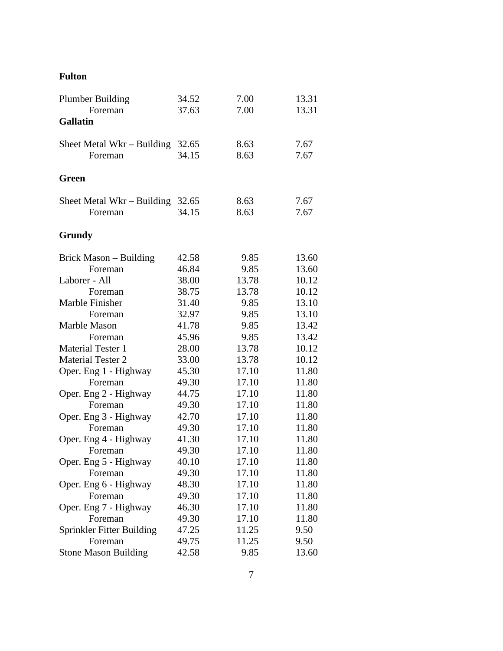## **Fulton**

| <b>Plumber Building</b>     | 34.52 | 7.00  | 13.31 |
|-----------------------------|-------|-------|-------|
| Foreman                     | 37.63 | 7.00  | 13.31 |
| <b>Gallatin</b>             |       |       |       |
| Sheet Metal Wkr – Building  | 32.65 | 8.63  | 7.67  |
| Foreman                     | 34.15 | 8.63  | 7.67  |
| Green                       |       |       |       |
| Sheet Metal Wkr – Building  | 32.65 | 8.63  | 7.67  |
| Foreman                     | 34.15 | 8.63  | 7.67  |
| Grundy                      |       |       |       |
| Brick Mason - Building      | 42.58 | 9.85  | 13.60 |
| Foreman                     | 46.84 | 9.85  | 13.60 |
| Laborer - All               | 38.00 | 13.78 | 10.12 |
| Foreman                     | 38.75 | 13.78 | 10.12 |
| Marble Finisher             | 31.40 | 9.85  | 13.10 |
| Foreman                     | 32.97 | 9.85  | 13.10 |
| Marble Mason                | 41.78 | 9.85  | 13.42 |
| Foreman                     | 45.96 | 9.85  | 13.42 |
| <b>Material Tester 1</b>    | 28.00 | 13.78 | 10.12 |
| <b>Material Tester 2</b>    | 33.00 | 13.78 | 10.12 |
| Oper. Eng 1 - Highway       | 45.30 | 17.10 | 11.80 |
| Foreman                     | 49.30 | 17.10 | 11.80 |
| Oper. Eng 2 - Highway       | 44.75 | 17.10 | 11.80 |
| Foreman                     | 49.30 | 17.10 | 11.80 |
| Oper. Eng 3 - Highway       | 42.70 | 17.10 | 11.80 |
| Foreman                     | 49.30 | 17.10 | 11.80 |
| Oper. Eng 4 - Highway       | 41.30 | 17.10 | 11.80 |
| Foreman                     | 49.30 | 17.10 | 11.80 |
| Oper. Eng 5 - Highway       | 40.10 | 17.10 | 11.80 |
| Foreman                     | 49.30 | 17.10 | 11.80 |
| Oper. Eng 6 - Highway       | 48.30 | 17.10 | 11.80 |
| Foreman                     | 49.30 | 17.10 | 11.80 |
| Oper. Eng 7 - Highway       | 46.30 | 17.10 | 11.80 |
| Foreman                     | 49.30 | 17.10 | 11.80 |
| Sprinkler Fitter Building   | 47.25 | 11.25 | 9.50  |
| Foreman                     | 49.75 | 11.25 | 9.50  |
| <b>Stone Mason Building</b> | 42.58 | 9.85  | 13.60 |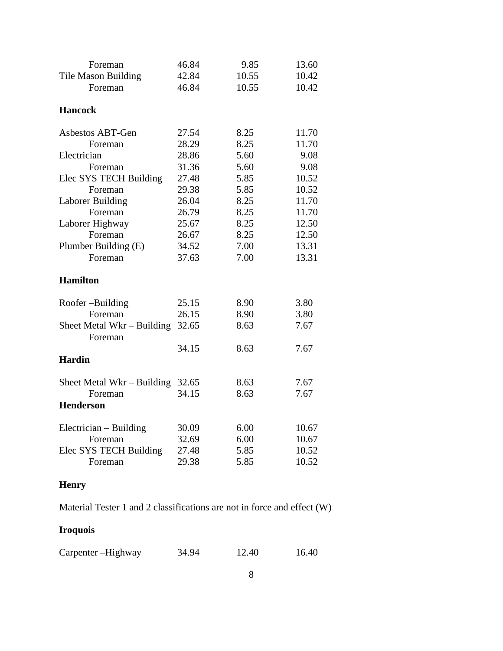| 46.84<br>9.85<br>13.60<br>Foreman<br>42.84<br>10.55<br><b>Tile Mason Building</b><br>10.42 |  |
|--------------------------------------------------------------------------------------------|--|
|                                                                                            |  |
| 46.84<br>10.55<br>10.42<br>Foreman                                                         |  |
|                                                                                            |  |
| <b>Hancock</b>                                                                             |  |
| 27.54<br>8.25<br>Asbestos ABT-Gen<br>11.70                                                 |  |
| 28.29<br>8.25<br>Foreman<br>11.70                                                          |  |
| Electrician<br>28.86<br>5.60<br>9.08                                                       |  |
| 31.36<br>5.60<br>9.08<br>Foreman                                                           |  |
| Elec SYS TECH Building<br>27.48<br>5.85<br>10.52                                           |  |
| 29.38<br>5.85<br>10.52<br>Foreman                                                          |  |
| Laborer Building<br>26.04<br>8.25<br>11.70                                                 |  |
| Foreman<br>26.79<br>8.25<br>11.70                                                          |  |
| Laborer Highway<br>25.67<br>8.25<br>12.50                                                  |  |
| Foreman<br>26.67<br>8.25<br>12.50                                                          |  |
| Plumber Building (E)<br>34.52<br>7.00<br>13.31                                             |  |
| 37.63<br>7.00<br>Foreman<br>13.31                                                          |  |
|                                                                                            |  |
| <b>Hamilton</b>                                                                            |  |
| Roofer-Building<br>8.90<br>3.80<br>25.15                                                   |  |
| 26.15<br>3.80<br>Foreman<br>8.90                                                           |  |
| 32.65<br>Sheet Metal Wkr - Building<br>8.63<br>7.67                                        |  |
| Foreman                                                                                    |  |
| 34.15<br>8.63<br>7.67                                                                      |  |
| <b>Hardin</b>                                                                              |  |
| 8.63<br>7.67<br>Sheet Metal Wkr $-$ Building<br>32.65                                      |  |
| 34.15<br>8.63<br>7.67<br>Foreman                                                           |  |
| <b>Henderson</b>                                                                           |  |
| 30.09<br>Electrician – Building<br>6.00<br>10.67                                           |  |
| 6.00<br>32.69<br>10.67<br>Foreman                                                          |  |
| Elec SYS TECH Building<br>27.48<br>5.85<br>10.52                                           |  |
| 5.85<br>29.38<br>10.52<br>Foreman                                                          |  |

## **Henry**

Material Tester 1 and 2 classifications are not in force and effect (W)

## **Iroquois**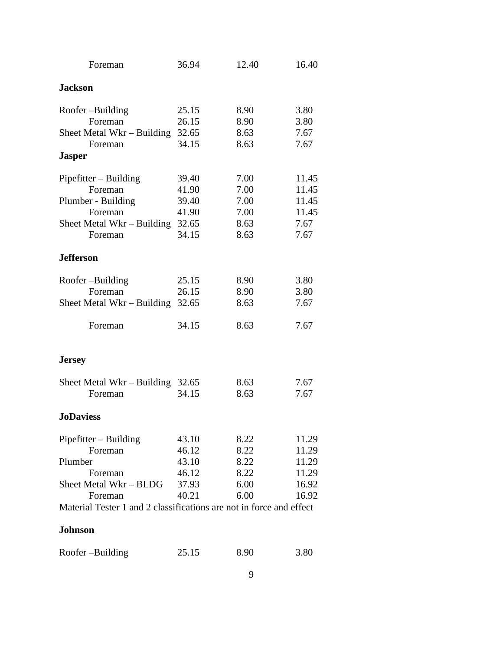| Foreman                                                             | 36.94 | 12.40 | 16.40 |
|---------------------------------------------------------------------|-------|-------|-------|
| <b>Jackson</b>                                                      |       |       |       |
| Roofer-Building                                                     | 25.15 | 8.90  | 3.80  |
| Foreman                                                             | 26.15 | 8.90  | 3.80  |
| Sheet Metal Wkr – Building                                          | 32.65 | 8.63  | 7.67  |
| Foreman                                                             | 34.15 | 8.63  | 7.67  |
| <b>Jasper</b>                                                       |       |       |       |
| $Pipefitter - Building$                                             | 39.40 | 7.00  | 11.45 |
| Foreman                                                             | 41.90 | 7.00  | 11.45 |
| Plumber - Building                                                  | 39.40 | 7.00  | 11.45 |
| Foreman                                                             | 41.90 | 7.00  | 11.45 |
| Sheet Metal Wkr – Building                                          | 32.65 | 8.63  | 7.67  |
| Foreman                                                             | 34.15 | 8.63  | 7.67  |
| <b>Jefferson</b>                                                    |       |       |       |
| Roofer-Building                                                     | 25.15 | 8.90  | 3.80  |
| Foreman                                                             | 26.15 | 8.90  | 3.80  |
| Sheet Metal Wkr – Building                                          | 32.65 | 8.63  | 7.67  |
| Foreman                                                             | 34.15 | 8.63  | 7.67  |
| <b>Jersey</b>                                                       |       |       |       |
| Sheet Metal Wkr – Building                                          | 32.65 | 8.63  | 7.67  |
| Foreman                                                             | 34.15 | 8.63  | 7.67  |
| <b>JoDaviess</b>                                                    |       |       |       |
| $Pipefitter - Building$                                             | 43.10 | 8.22  | 11.29 |
| Foreman                                                             | 46.12 | 8.22  | 11.29 |
| Plumber                                                             | 43.10 | 8.22  | 11.29 |
| Foreman                                                             | 46.12 | 8.22  | 11.29 |
| Sheet Metal Wkr - BLDG                                              | 37.93 | 6.00  | 16.92 |
| Foreman                                                             | 40.21 | 6.00  | 16.92 |
| Material Tester 1 and 2 classifications are not in force and effect |       |       |       |
| <b>Johnson</b>                                                      |       |       |       |

|  | Roofer-Building | 25.15 | 8.90 | 3.80 |
|--|-----------------|-------|------|------|
|--|-----------------|-------|------|------|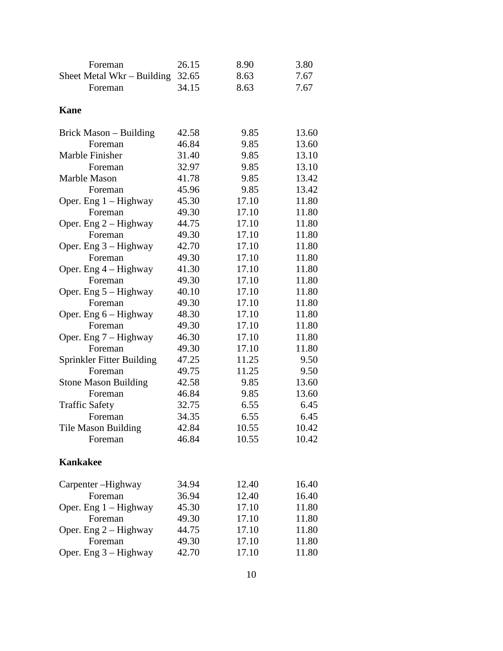| Foreman                     | 26.15 | 8.90  | 3.80  |
|-----------------------------|-------|-------|-------|
| Sheet Metal Wkr – Building  | 32.65 | 8.63  | 7.67  |
| Foreman                     | 34.15 | 8.63  | 7.67  |
|                             |       |       |       |
| <b>Kane</b>                 |       |       |       |
| Brick Mason – Building      | 42.58 | 9.85  | 13.60 |
| Foreman                     | 46.84 | 9.85  | 13.60 |
| Marble Finisher             | 31.40 | 9.85  | 13.10 |
| Foreman                     | 32.97 | 9.85  | 13.10 |
| Marble Mason                | 41.78 | 9.85  | 13.42 |
| Foreman                     | 45.96 | 9.85  | 13.42 |
| Oper. Eng $1 -$ Highway     | 45.30 | 17.10 | 11.80 |
| Foreman                     | 49.30 | 17.10 | 11.80 |
| Oper. Eng $2 -$ Highway     | 44.75 | 17.10 | 11.80 |
| Foreman                     | 49.30 | 17.10 | 11.80 |
| Oper. Eng $3 -$ Highway     | 42.70 | 17.10 | 11.80 |
| Foreman                     | 49.30 | 17.10 | 11.80 |
| Oper. Eng $4$ – Highway     | 41.30 | 17.10 | 11.80 |
| Foreman                     | 49.30 | 17.10 | 11.80 |
| Oper. Eng $5 -$ Highway     | 40.10 | 17.10 | 11.80 |
| Foreman                     | 49.30 | 17.10 | 11.80 |
| Oper. Eng $6$ – Highway     | 48.30 | 17.10 | 11.80 |
| Foreman                     | 49.30 | 17.10 | 11.80 |
| Oper. Eng $7 -$ Highway     | 46.30 | 17.10 | 11.80 |
| Foreman                     | 49.30 | 17.10 | 11.80 |
| Sprinkler Fitter Building   | 47.25 | 11.25 | 9.50  |
| Foreman                     | 49.75 | 11.25 | 9.50  |
| <b>Stone Mason Building</b> | 42.58 | 9.85  | 13.60 |
| Foreman                     | 46.84 | 9.85  | 13.60 |
| <b>Traffic Safety</b>       | 32.75 | 6.55  | 6.45  |
| Foreman                     | 34.35 | 6.55  | 6.45  |
| Tile Mason Building         | 42.84 | 10.55 | 10.42 |
| Foreman                     | 46.84 | 10.55 | 10.42 |
| <b>Kankakee</b>             |       |       |       |
| Carpenter -Highway          | 34.94 | 12.40 | 16.40 |
| Foreman                     | 36.94 | 12.40 | 16.40 |
| Oper. Eng $1 -$ Highway     | 45.30 | 17.10 | 11.80 |
| Foreman                     | 49.30 | 17.10 | 11.80 |
| Oper. Eng $2 -$ Highway     | 44.75 | 17.10 | 11.80 |
| Foreman                     | 49.30 | 17.10 | 11.80 |
| Oper. Eng $3 -$ Highway     | 42.70 | 17.10 | 11.80 |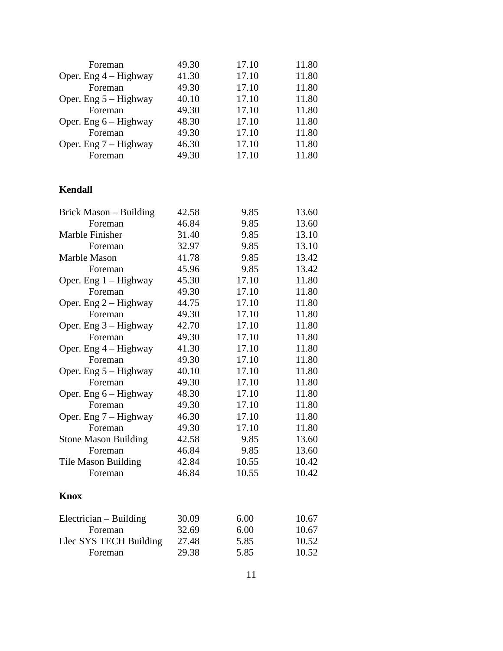| Foreman                 | 49.30 | 17.10 | 11.80 |
|-------------------------|-------|-------|-------|
| Oper. Eng $4$ – Highway | 41.30 | 17.10 | 11.80 |
| Foreman                 | 49.30 | 17.10 | 11.80 |
| Oper. Eng $5 -$ Highway | 40.10 | 17.10 | 11.80 |
| Foreman                 | 49.30 | 17.10 | 11.80 |
| Oper. Eng $6$ – Highway | 48.30 | 17.10 | 11.80 |
| Foreman                 | 49.30 | 17.10 | 11.80 |
| Oper. Eng $7 -$ Highway | 46.30 | 17.10 | 11.80 |
| Foreman                 | 49.30 | 17.10 | 11.80 |

## **Kendall**

| Brick Mason – Building      | 42.58 | 9.85  | 13.60 |
|-----------------------------|-------|-------|-------|
| Foreman                     | 46.84 | 9.85  | 13.60 |
| Marble Finisher             | 31.40 | 9.85  | 13.10 |
| Foreman                     | 32.97 | 9.85  | 13.10 |
| Marble Mason                | 41.78 | 9.85  | 13.42 |
| Foreman                     | 45.96 | 9.85  | 13.42 |
| Oper. Eng 1 - Highway       | 45.30 | 17.10 | 11.80 |
| Foreman                     | 49.30 | 17.10 | 11.80 |
| Oper. Eng $2 -$ Highway     | 44.75 | 17.10 | 11.80 |
| Foreman                     | 49.30 | 17.10 | 11.80 |
| Oper. Eng $3 -$ Highway     | 42.70 | 17.10 | 11.80 |
| Foreman                     | 49.30 | 17.10 | 11.80 |
| Oper. Eng $4$ – Highway     | 41.30 | 17.10 | 11.80 |
| Foreman                     | 49.30 | 17.10 | 11.80 |
| Oper. Eng $5 -$ Highway     | 40.10 | 17.10 | 11.80 |
| Foreman                     | 49.30 | 17.10 | 11.80 |
| Oper. Eng $6$ – Highway     | 48.30 | 17.10 | 11.80 |
| Foreman                     | 49.30 | 17.10 | 11.80 |
| Oper. Eng $7 -$ Highway     | 46.30 | 17.10 | 11.80 |
| Foreman                     | 49.30 | 17.10 | 11.80 |
| <b>Stone Mason Building</b> | 42.58 | 9.85  | 13.60 |
| Foreman                     | 46.84 | 9.85  | 13.60 |
| Tile Mason Building         | 42.84 | 10.55 | 10.42 |
| Foreman                     | 46.84 | 10.55 | 10.42 |
| <b>Knox</b>                 |       |       |       |
| Electrician – Building      | 30.09 | 6.00  | 10.67 |
| Foreman                     | 32.69 | 6.00  | 10.67 |
| Elec SYS TECH Building      | 27.48 | 5.85  | 10.52 |
| Foreman                     | 29.38 | 5.85  | 10.52 |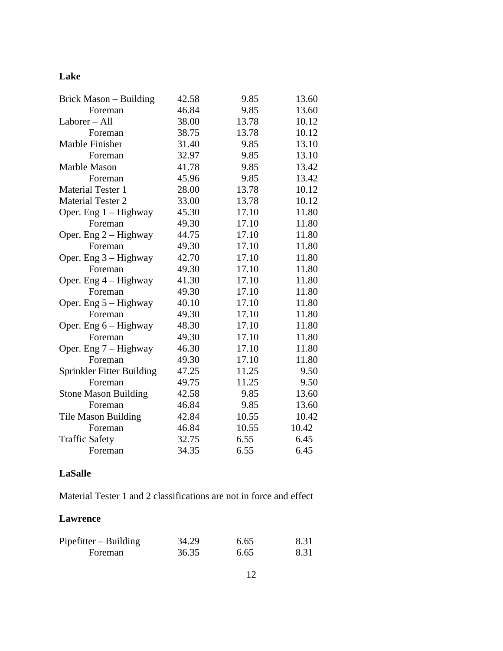## **Lake**

| Brick Mason – Building      | 42.58 | 9.85  | 13.60 |
|-----------------------------|-------|-------|-------|
| Foreman                     | 46.84 | 9.85  | 13.60 |
| Laborer - All               | 38.00 | 13.78 | 10.12 |
| Foreman                     | 38.75 | 13.78 | 10.12 |
| Marble Finisher             | 31.40 | 9.85  | 13.10 |
| Foreman                     | 32.97 | 9.85  | 13.10 |
| Marble Mason                | 41.78 | 9.85  | 13.42 |
| Foreman                     | 45.96 | 9.85  | 13.42 |
| <b>Material Tester 1</b>    | 28.00 | 13.78 | 10.12 |
| <b>Material Tester 2</b>    | 33.00 | 13.78 | 10.12 |
| Oper. Eng $1 -$ Highway     | 45.30 | 17.10 | 11.80 |
| Foreman                     | 49.30 | 17.10 | 11.80 |
| Oper. Eng $2 -$ Highway     | 44.75 | 17.10 | 11.80 |
| Foreman                     | 49.30 | 17.10 | 11.80 |
| Oper. Eng $3 -$ Highway     | 42.70 | 17.10 | 11.80 |
| Foreman                     | 49.30 | 17.10 | 11.80 |
| Oper. Eng $4$ – Highway     | 41.30 | 17.10 | 11.80 |
| Foreman                     | 49.30 | 17.10 | 11.80 |
| Oper. Eng $5 -$ Highway     | 40.10 | 17.10 | 11.80 |
| Foreman                     | 49.30 | 17.10 | 11.80 |
| Oper. Eng $6$ – Highway     | 48.30 | 17.10 | 11.80 |
| Foreman                     | 49.30 | 17.10 | 11.80 |
| Oper. Eng 7 - Highway       | 46.30 | 17.10 | 11.80 |
| Foreman                     | 49.30 | 17.10 | 11.80 |
| Sprinkler Fitter Building   | 47.25 | 11.25 | 9.50  |
| Foreman                     | 49.75 | 11.25 | 9.50  |
| <b>Stone Mason Building</b> | 42.58 | 9.85  | 13.60 |
| Foreman                     | 46.84 | 9.85  | 13.60 |
| Tile Mason Building         | 42.84 | 10.55 | 10.42 |
| Foreman                     | 46.84 | 10.55 | 10.42 |
| <b>Traffic Safety</b>       | 32.75 | 6.55  | 6.45  |
| Foreman                     | 34.35 | 6.55  | 6.45  |

## **LaSalle**

Material Tester 1 and 2 classifications are not in force and effect

### **Lawrence**

| $Pipefitter - Building$ | 34.29 | 6.65 | 8.31 |
|-------------------------|-------|------|------|
| Foreman                 | 36.35 | 6.65 | 8.31 |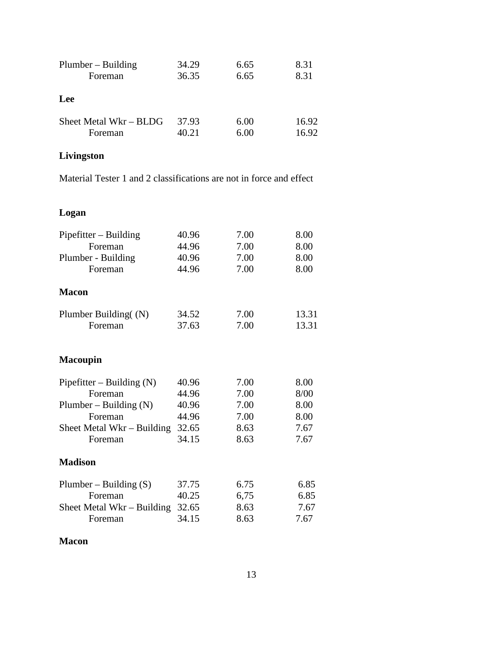| $Plumber - Building$   | 34.29 | 6.65 | 8.31  |
|------------------------|-------|------|-------|
| Foreman                | 36.35 | 6.65 | 8.31  |
| Lee                    |       |      |       |
| Sheet Metal Wkr – BLDG | 37.93 | 6.00 | 16.92 |
| Foreman                | 40.21 | 6.00 | 16.92 |

## **Livingston**

Material Tester 1 and 2 classifications are not in force and effect

| Logan                       |       |      |       |
|-----------------------------|-------|------|-------|
| Pipefitter – Building       | 40.96 | 7.00 | 8.00  |
| Foreman                     | 44.96 | 7.00 | 8.00  |
| Plumber - Building          | 40.96 | 7.00 | 8.00  |
| Foreman                     | 44.96 | 7.00 | 8.00  |
| Macon                       |       |      |       |
| Plumber Building((N)        | 34.52 | 7.00 | 13.31 |
| Foreman                     | 37.63 | 7.00 | 13.31 |
| <b>Macoupin</b>             |       |      |       |
| Pipefitter – Building $(N)$ | 40.96 | 7.00 | 8.00  |
| Foreman                     | 44.96 | 7.00 | 8/00  |
| Plumber – Building $(N)$    | 40.96 | 7.00 | 8.00  |
| Foreman                     | 44.96 | 7.00 | 8.00  |
| Sheet Metal Wkr – Building  | 32.65 | 8.63 | 7.67  |
| Foreman                     | 34.15 | 8.63 | 7.67  |
| <b>Madison</b>              |       |      |       |
| Plumber – Building $(S)$    | 37.75 | 6.75 | 6.85  |
| Foreman                     | 40.25 | 6,75 | 6.85  |
| Sheet Metal Wkr - Building  | 32.65 | 8.63 | 7.67  |
| Foreman                     | 34.15 | 8.63 | 7.67  |

### **Macon**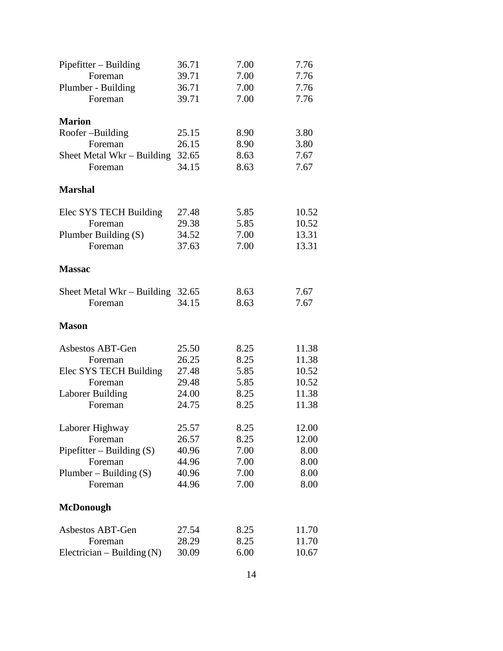| $Pipefitter - Building$      | 36.71 | 7.00 | 7.76  |
|------------------------------|-------|------|-------|
| Foreman                      | 39.71 | 7.00 | 7.76  |
| Plumber - Building           | 36.71 | 7.00 | 7.76  |
| Foreman                      | 39.71 | 7.00 | 7.76  |
| <b>Marion</b>                |       |      |       |
| Roofer-Building              | 25.15 | 8.90 | 3.80  |
| Foreman                      | 26.15 | 8.90 | 3.80  |
| Sheet Metal Wkr – Building   | 32.65 | 8.63 | 7.67  |
| Foreman                      | 34.15 | 8.63 | 7.67  |
| <b>Marshal</b>               |       |      |       |
| Elec SYS TECH Building       | 27.48 | 5.85 | 10.52 |
| Foreman                      | 29.38 | 5.85 | 10.52 |
| Plumber Building (S)         | 34.52 | 7.00 | 13.31 |
| Foreman                      | 37.63 | 7.00 | 13.31 |
| <b>Massac</b>                |       |      |       |
| Sheet Metal $Wkr - Building$ | 32.65 | 8.63 | 7.67  |
| Foreman                      | 34.15 | 8.63 | 7.67  |
| <b>Mason</b>                 |       |      |       |
| Asbestos ABT-Gen             | 25.50 | 8.25 | 11.38 |
| Foreman                      | 26.25 | 8.25 | 11.38 |
| Elec SYS TECH Building       | 27.48 | 5.85 | 10.52 |
| Foreman                      | 29.48 | 5.85 | 10.52 |
| <b>Laborer Building</b>      | 24.00 | 8.25 | 11.38 |
| Foreman                      | 24.75 | 8.25 | 11.38 |
| Laborer Highway              | 25.57 | 8.25 | 12.00 |
| Foreman                      | 26.57 | 8.25 | 12.00 |
| Pipefitter – Building $(S)$  | 40.96 | 7.00 | 8.00  |
| Foreman                      | 44.96 | 7.00 | 8.00  |
| Plumber – Building $(S)$     | 40.96 | 7.00 | 8.00  |
| Foreman                      | 44.96 | 7.00 | 8.00  |
| <b>McDonough</b>             |       |      |       |
| Asbestos ABT-Gen             | 27.54 | 8.25 | 11.70 |
| Foreman                      | 28.29 | 8.25 | 11.70 |
| Electrician – Building $(N)$ | 30.09 | 6.00 | 10.67 |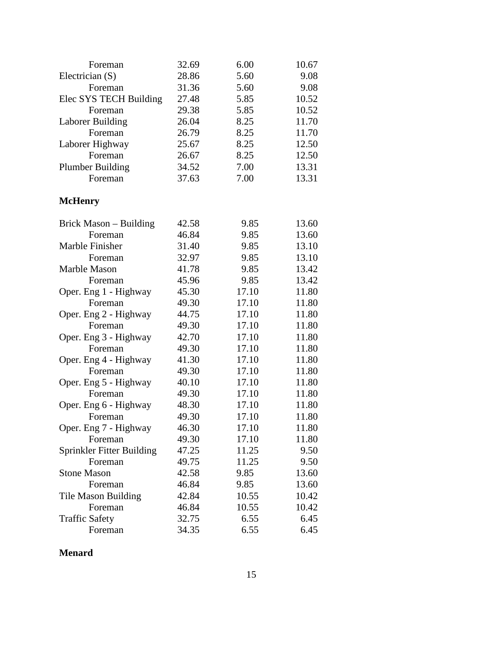| Foreman                    | 32.69 | 6.00  | 10.67 |
|----------------------------|-------|-------|-------|
| Electrician $(S)$          | 28.86 | 5.60  | 9.08  |
| Foreman                    | 31.36 | 5.60  | 9.08  |
| Elec SYS TECH Building     | 27.48 | 5.85  | 10.52 |
| Foreman                    | 29.38 | 5.85  | 10.52 |
| Laborer Building           | 26.04 | 8.25  | 11.70 |
| Foreman                    | 26.79 | 8.25  | 11.70 |
| Laborer Highway            | 25.67 | 8.25  | 12.50 |
| Foreman                    | 26.67 | 8.25  | 12.50 |
| <b>Plumber Building</b>    | 34.52 | 7.00  | 13.31 |
| Foreman                    | 37.63 | 7.00  | 13.31 |
| <b>McHenry</b>             |       |       |       |
| Brick Mason – Building     | 42.58 | 9.85  | 13.60 |
| Foreman                    | 46.84 | 9.85  | 13.60 |
| Marble Finisher            | 31.40 | 9.85  | 13.10 |
| Foreman                    | 32.97 | 9.85  | 13.10 |
| Marble Mason               | 41.78 | 9.85  | 13.42 |
| Foreman                    | 45.96 | 9.85  | 13.42 |
| Oper. Eng 1 - Highway      | 45.30 | 17.10 | 11.80 |
| Foreman                    | 49.30 | 17.10 | 11.80 |
| Oper. Eng 2 - Highway      | 44.75 | 17.10 | 11.80 |
| Foreman                    | 49.30 | 17.10 | 11.80 |
| Oper. Eng 3 - Highway      | 42.70 | 17.10 | 11.80 |
| Foreman                    | 49.30 | 17.10 | 11.80 |
| Oper. Eng 4 - Highway      | 41.30 | 17.10 | 11.80 |
| Foreman                    | 49.30 | 17.10 | 11.80 |
| Oper. Eng 5 - Highway      | 40.10 | 17.10 | 11.80 |
| Foreman                    | 49.30 | 17.10 | 11.80 |
| Oper. Eng 6 - Highway      | 48.30 | 17.10 | 11.80 |
| Foreman                    | 49.30 | 17.10 | 11.80 |
| Oper. Eng 7 - Highway      | 46.30 | 17.10 | 11.80 |
| Foreman                    | 49.30 | 17.10 | 11.80 |
| Sprinkler Fitter Building  | 47.25 | 11.25 | 9.50  |
| Foreman                    | 49.75 | 11.25 | 9.50  |
| <b>Stone Mason</b>         | 42.58 | 9.85  | 13.60 |
| Foreman                    | 46.84 | 9.85  | 13.60 |
| <b>Tile Mason Building</b> | 42.84 | 10.55 | 10.42 |
| Foreman                    | 46.84 | 10.55 | 10.42 |
| <b>Traffic Safety</b>      | 32.75 | 6.55  | 6.45  |
| Foreman                    | 34.35 | 6.55  | 6.45  |

**Menard**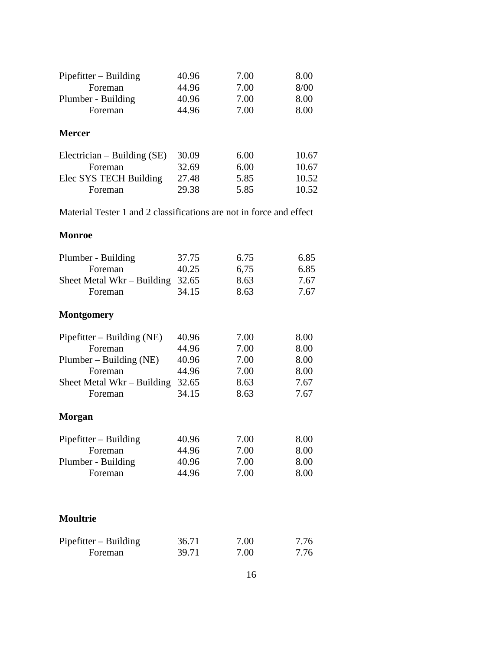| $Pipefitter - Building$       | 40.96 | 7.00 | 8.00  |
|-------------------------------|-------|------|-------|
| Foreman                       | 44.96 | 7.00 | 8/00  |
| Plumber - Building            | 40.96 | 7.00 | 8.00  |
| Foreman                       | 44.96 | 7.00 | 8.00  |
| <b>Mercer</b>                 |       |      |       |
| Electrician – Building $(SE)$ | 30.09 | 6.00 | 10.67 |
| Foreman                       | 32.69 | 6.00 | 10.67 |
| Elec SYS TECH Building        | 27.48 | 5.85 | 10.52 |
| Foreman                       | 29.38 | 5.85 | 10.52 |
|                               |       |      |       |

Material Tester 1 and 2 classifications are not in force and effect

### **Monroe**

| Plumber - Building                 | 37.75 | 6.75 | 6.85 |
|------------------------------------|-------|------|------|
| Foreman                            | 40.25 | 6,75 | 6.85 |
| Sheet Metal Wkr – Building $32.65$ |       | 8.63 | 7.67 |
| Foreman                            | 34.15 | 8.63 | 7.67 |
| <b>Montgomery</b>                  |       |      |      |
| Pipefitter – Building (NE)         | 40.96 | 7.00 | 8.00 |
| Foreman                            | 44.96 | 7.00 | 8.00 |
| $Plumber - Building (NE)$          | 40.96 | 7.00 | 8.00 |
| Foreman                            | 44.96 | 7.00 | 8.00 |
| Sheet Metal Wkr – Building         | 32.65 | 8.63 | 7.67 |
| Foreman                            | 34.15 | 8.63 | 7.67 |
| Morgan                             |       |      |      |
| $Pipefitter - Building$            | 40.96 | 7.00 | 8.00 |
| Foreman                            | 44.96 | 7.00 | 8.00 |
| Plumber - Building                 | 40.96 | 7.00 | 8.00 |
| Foreman                            | 44.96 | 7.00 | 8.00 |
|                                    |       |      |      |
| <b>Moultrie</b>                    |       |      |      |
| $Pipefitter - Building$            | 36.71 | 7.00 | 7.76 |
| Foreman                            | 39.71 | 7.00 | 7.76 |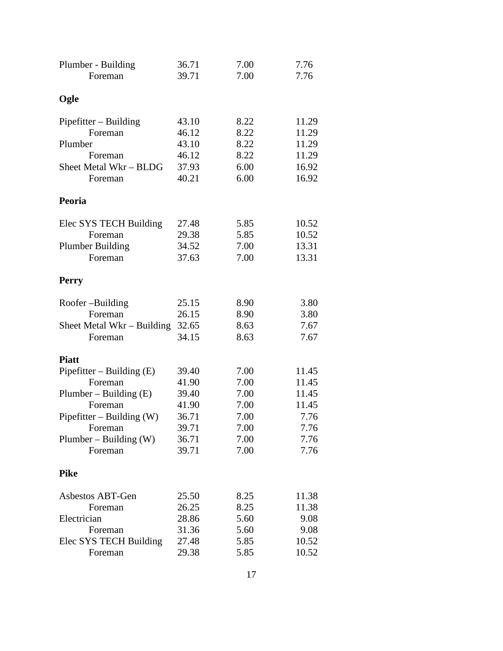| Plumber - Building          | 36.71 | 7.00 | 7.76  |
|-----------------------------|-------|------|-------|
| Foreman                     | 39.71 | 7.00 | 7.76  |
| Ogle                        |       |      |       |
| $Pipefitter - Building$     | 43.10 | 8.22 | 11.29 |
| Foreman                     | 46.12 | 8.22 | 11.29 |
| Plumber                     | 43.10 | 8.22 | 11.29 |
| Foreman                     | 46.12 | 8.22 | 11.29 |
| Sheet Metal Wkr - BLDG      | 37.93 | 6.00 | 16.92 |
| Foreman                     | 40.21 | 6.00 | 16.92 |
| Peoria                      |       |      |       |
| Elec SYS TECH Building      | 27.48 | 5.85 | 10.52 |
| Foreman                     | 29.38 | 5.85 | 10.52 |
| Plumber Building            | 34.52 | 7.00 | 13.31 |
| Foreman                     | 37.63 | 7.00 | 13.31 |
| <b>Perry</b>                |       |      |       |
| Roofer-Building             | 25.15 | 8.90 | 3.80  |
| Foreman                     | 26.15 | 8.90 | 3.80  |
| Sheet Metal Wkr – Building  | 32.65 | 8.63 | 7.67  |
| Foreman                     | 34.15 | 8.63 | 7.67  |
| <b>Piatt</b>                |       |      |       |
| Pipefitter – Building $(E)$ | 39.40 | 7.00 | 11.45 |
| Foreman                     | 41.90 | 7.00 | 11.45 |
| Plumber – Building $(E)$    | 39.40 | 7.00 | 11.45 |
| Foreman                     | 41.90 | 7.00 | 11.45 |
| Pipefitter – Building $(W)$ | 36.71 | 7.00 | 7.76  |
| Foreman                     | 39.71 | 7.00 | 7.76  |
| Plumber – Building $(W)$    | 36.71 | 7.00 | 7.76  |
| Foreman                     | 39.71 | 7.00 | 7.76  |
| <b>Pike</b>                 |       |      |       |
| Asbestos ABT-Gen            | 25.50 | 8.25 | 11.38 |
| Foreman                     | 26.25 | 8.25 | 11.38 |
| Electrician                 | 28.86 | 5.60 | 9.08  |
| Foreman                     | 31.36 | 5.60 | 9.08  |
| Elec SYS TECH Building      | 27.48 | 5.85 | 10.52 |
| Foreman                     | 29.38 | 5.85 | 10.52 |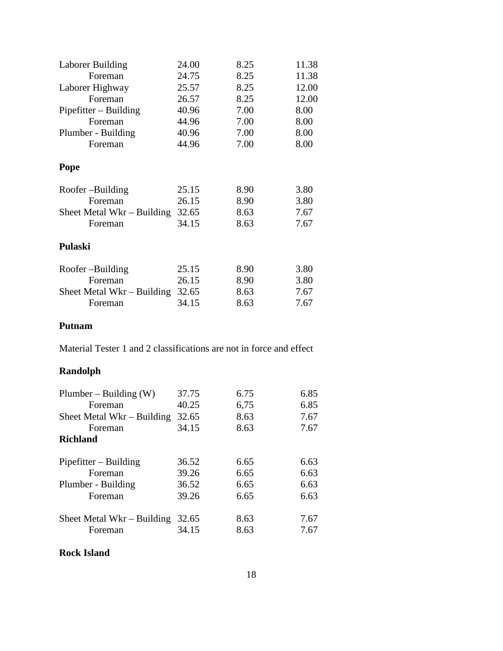| 24.00                                 | 8.25 | 11.38 |
|---------------------------------------|------|-------|
| 24.75                                 | 8.25 | 11.38 |
| 25.57                                 | 8.25 | 12.00 |
| 26.57                                 | 8.25 | 12.00 |
| 40.96                                 | 7.00 | 8.00  |
| 44.96                                 | 7.00 | 8.00  |
| 40.96                                 | 7.00 | 8.00  |
| 44.96                                 | 7.00 | 8.00  |
|                                       |      |       |
| 25.15                                 | 8.90 | 3.80  |
| 26.15                                 | 8.90 | 3.80  |
| 32.65<br>Sheet Metal Wkr $-$ Building | 8.63 | 7.67  |
| 34.15                                 | 8.63 | 7.67  |
|                                       |      |       |
| 25.15                                 | 8.90 | 3.80  |
| 26.15                                 | 8.90 | 3.80  |
| 32.65<br>Sheet Metal Wkr – Building   | 8.63 | 7.67  |
| 34.15                                 | 8.63 | 7.67  |
|                                       |      |       |

### **Putnam**

Material Tester 1 and 2 classifications are not in force and effect

## **Randolph**

| Plumber – Building $(W)$     | 37.75 | 6.75 | 6.85 |
|------------------------------|-------|------|------|
| Foreman                      | 40.25 | 6,75 | 6.85 |
| Sheet Metal Wkr $-$ Building | 32.65 | 8.63 | 7.67 |
| Foreman                      | 34.15 | 8.63 | 7.67 |
| <b>Richland</b>              |       |      |      |
| $Pipefitter - Building$      | 36.52 | 6.65 | 6.63 |
| Foreman                      | 39.26 | 6.65 | 6.63 |
| Plumber - Building           | 36.52 | 6.65 | 6.63 |
| Foreman                      | 39.26 | 6.65 | 6.63 |
| Sheet Metal Wkr $-$ Building | 32.65 | 8.63 | 7.67 |
| Foreman                      | 34.15 | 8.63 | 7.67 |

#### **Rock Island**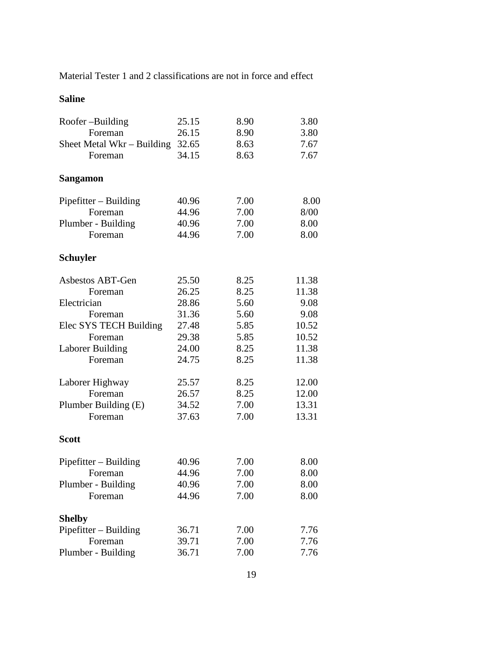Material Tester 1 and 2 classifications are not in force and effect

| 25.15 | 8.90                                                                                                                       | 3.80                                                                                                         |
|-------|----------------------------------------------------------------------------------------------------------------------------|--------------------------------------------------------------------------------------------------------------|
| 26.15 | 8.90                                                                                                                       | 3.80                                                                                                         |
|       | 8.63                                                                                                                       | 7.67                                                                                                         |
|       |                                                                                                                            | 7.67                                                                                                         |
|       |                                                                                                                            |                                                                                                              |
|       |                                                                                                                            |                                                                                                              |
| 40.96 | 7.00                                                                                                                       | 8.00                                                                                                         |
| 44.96 | 7.00                                                                                                                       | 8/00                                                                                                         |
| 40.96 | 7.00                                                                                                                       | 8.00                                                                                                         |
| 44.96 | 7.00                                                                                                                       | 8.00                                                                                                         |
|       |                                                                                                                            |                                                                                                              |
|       |                                                                                                                            |                                                                                                              |
|       |                                                                                                                            | 11.38                                                                                                        |
|       |                                                                                                                            | 11.38                                                                                                        |
|       |                                                                                                                            | 9.08                                                                                                         |
|       |                                                                                                                            | 9.08                                                                                                         |
|       |                                                                                                                            | 10.52                                                                                                        |
|       |                                                                                                                            | 10.52                                                                                                        |
|       |                                                                                                                            | 11.38                                                                                                        |
| 24.75 |                                                                                                                            | 11.38                                                                                                        |
|       |                                                                                                                            | 12.00                                                                                                        |
|       |                                                                                                                            | 12.00                                                                                                        |
|       |                                                                                                                            | 13.31                                                                                                        |
| 37.63 | 7.00                                                                                                                       | 13.31                                                                                                        |
|       |                                                                                                                            |                                                                                                              |
|       |                                                                                                                            |                                                                                                              |
| 40.96 | 7.00                                                                                                                       | 8.00                                                                                                         |
| 44.96 | 7.00                                                                                                                       | 8.00                                                                                                         |
| 40.96 | 7.00                                                                                                                       | 8.00                                                                                                         |
| 44.96 | 7.00                                                                                                                       | 8.00                                                                                                         |
|       |                                                                                                                            |                                                                                                              |
|       |                                                                                                                            | 7.76                                                                                                         |
|       |                                                                                                                            | 7.76                                                                                                         |
| 36.71 | 7.00                                                                                                                       | 7.76                                                                                                         |
|       | 32.65<br>34.15<br>25.50<br>26.25<br>28.86<br>31.36<br>27.48<br>29.38<br>24.00<br>25.57<br>26.57<br>34.52<br>36.71<br>39.71 | 8.63<br>8.25<br>8.25<br>5.60<br>5.60<br>5.85<br>5.85<br>8.25<br>8.25<br>8.25<br>8.25<br>7.00<br>7.00<br>7.00 |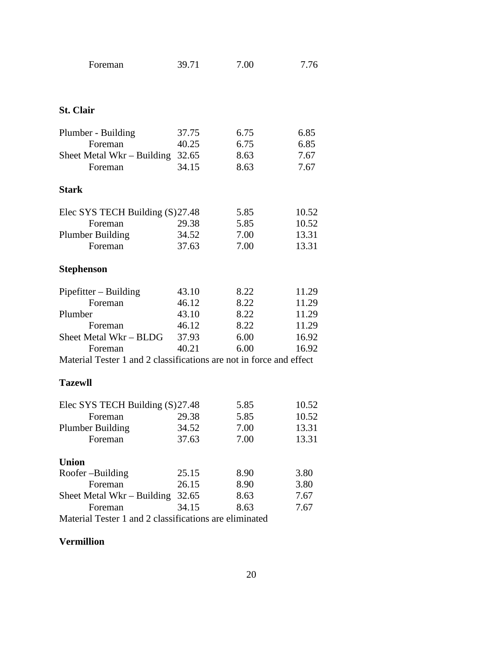| Foreman                                                             | 39.71 | 7.00 | 7.76  |
|---------------------------------------------------------------------|-------|------|-------|
| <b>St. Clair</b>                                                    |       |      |       |
| Plumber - Building                                                  | 37.75 | 6.75 | 6.85  |
| Foreman                                                             | 40.25 | 6.75 | 6.85  |
| Sheet Metal Wkr – Building $32.65$                                  |       | 8.63 | 7.67  |
| Foreman                                                             | 34.15 | 8.63 | 7.67  |
| <b>Stark</b>                                                        |       |      |       |
| Elec SYS TECH Building (S)27.48                                     |       | 5.85 | 10.52 |
| Foreman                                                             | 29.38 | 5.85 | 10.52 |
| <b>Plumber Building</b>                                             | 34.52 | 7.00 | 13.31 |
| Foreman                                                             | 37.63 | 7.00 | 13.31 |
| <b>Stephenson</b>                                                   |       |      |       |
| $Pipefitter - Building$                                             | 43.10 | 8.22 | 11.29 |
| Foreman                                                             | 46.12 | 8.22 | 11.29 |
| Plumber                                                             | 43.10 | 8.22 | 11.29 |
| Foreman                                                             | 46.12 | 8.22 | 11.29 |
| Sheet Metal Wkr – BLDG                                              | 37.93 | 6.00 | 16.92 |
| Foreman                                                             | 40.21 | 6.00 | 16.92 |
| Material Tester 1 and 2 classifications are not in force and effect |       |      |       |
| <b>Tazewll</b>                                                      |       |      |       |
| Elec SYS TECH Building (S) 27.48                                    |       | 5.85 | 10.52 |
| Foreman                                                             | 29.38 | 5.85 | 10.52 |
| <b>Plumber Building</b>                                             | 34.52 | 7.00 | 13.31 |
| Foreman                                                             | 37.63 | 7.00 | 13.31 |
| <b>Union</b>                                                        |       |      |       |
| Roofer-Building                                                     | 25.15 | 8.90 | 3.80  |
| Foreman                                                             | 26.15 | 8.90 | 3.80  |
| Sheet Metal Wkr – Building                                          | 32.65 | 8.63 | 7.67  |

Foreman 34.15 8.63 7.67

Material Tester 1 and 2 classifications are eliminated

## **Vermillion**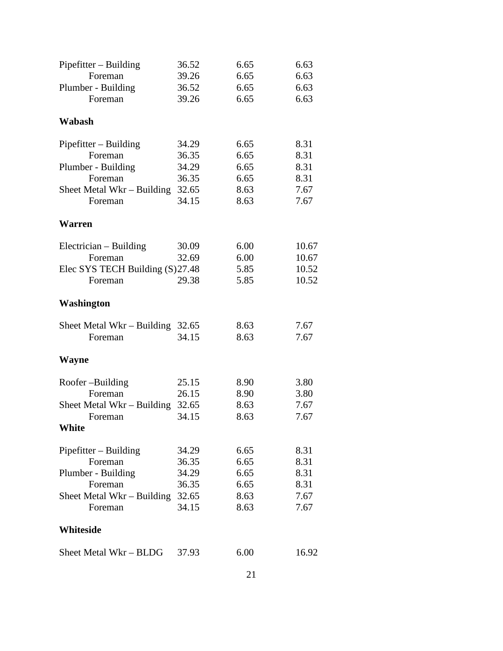|                                                                                        |                                           |                              | 6.63  |
|----------------------------------------------------------------------------------------|-------------------------------------------|------------------------------|-------|
| Foreman                                                                                | 39.26                                     | 6.65                         | 6.63  |
| Plumber - Building                                                                     | 36.52                                     | 6.65                         | 6.63  |
| Foreman                                                                                | 39.26                                     | 6.65                         | 6.63  |
| Wabash                                                                                 |                                           |                              |       |
| $Pipefitter - Building$                                                                | 34.29                                     | 6.65                         | 8.31  |
| Foreman                                                                                | 36.35                                     | 6.65                         | 8.31  |
| Plumber - Building                                                                     | 34.29                                     | 6.65                         | 8.31  |
| Foreman                                                                                | 36.35                                     | 6.65                         | 8.31  |
| Sheet Metal Wkr $-$ Building                                                           | 32.65                                     | 8.63                         | 7.67  |
| Foreman                                                                                | 34.15                                     | 8.63                         | 7.67  |
| <b>Warren</b>                                                                          |                                           |                              |       |
| Electrician – Building                                                                 | 30.09                                     | 6.00                         | 10.67 |
| Foreman                                                                                | 32.69                                     | 6.00                         | 10.67 |
| Elec SYS TECH Building (S) 27.48                                                       |                                           | 5.85                         | 10.52 |
| Foreman                                                                                | 29.38                                     | 5.85                         | 10.52 |
| Washington                                                                             |                                           |                              |       |
|                                                                                        |                                           |                              | 7.67  |
| Foreman                                                                                | 34.15                                     | 8.63                         | 7.67  |
| <b>Wayne</b>                                                                           |                                           |                              |       |
|                                                                                        |                                           |                              | 3.80  |
|                                                                                        |                                           |                              | 3.80  |
|                                                                                        |                                           |                              | 7.67  |
| Foreman                                                                                | 34.15                                     | 8.63                         | 7.67  |
| White                                                                                  |                                           |                              |       |
| Pipefitter - Building                                                                  | 34.29                                     | 6.65                         | 8.31  |
| Foreman                                                                                | 36.35                                     | 6.65                         | 8.31  |
| Plumber - Building                                                                     | 34.29                                     | 6.65                         | 8.31  |
| Foreman                                                                                | 36.35                                     | 6.65                         | 8.31  |
| Sheet Metal Wkr – Building                                                             |                                           | 8.63                         | 7.67  |
| Foreman                                                                                | 34.15                                     | 8.63                         | 7.67  |
| Whiteside                                                                              |                                           |                              |       |
| Sheet Metal Wkr - BLDG                                                                 | 37.93                                     | 6.00                         | 16.92 |
| Sheet Metal Wkr - Building<br>Roofer-Building<br>Foreman<br>Sheet Metal Wkr – Building | 32.65<br>25.15<br>26.15<br>32.65<br>32.65 | 8.63<br>8.90<br>8.90<br>8.63 |       |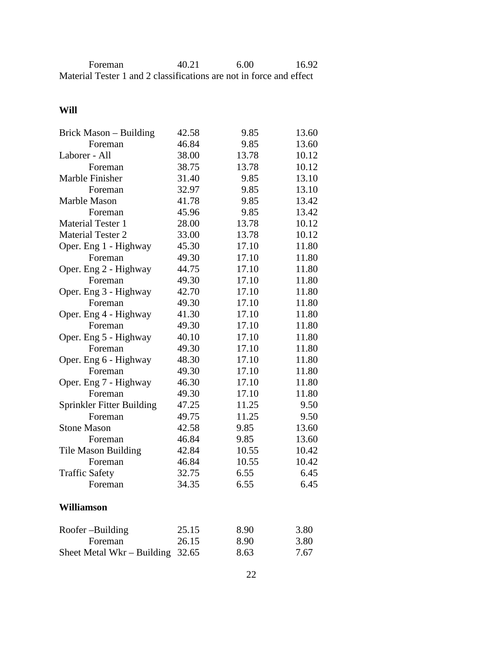| Foreman                                                             | 40.21 | 6.00 | 16.92 |
|---------------------------------------------------------------------|-------|------|-------|
| Material Tester 1 and 2 classifications are not in force and effect |       |      |       |

## **Will**

| Brick Mason – Building     | 42.58 | 9.85  | 13.60 |
|----------------------------|-------|-------|-------|
| Foreman                    | 46.84 | 9.85  | 13.60 |
| Laborer - All              | 38.00 | 13.78 | 10.12 |
| Foreman                    | 38.75 | 13.78 | 10.12 |
| Marble Finisher            | 31.40 | 9.85  | 13.10 |
| Foreman                    | 32.97 | 9.85  | 13.10 |
| Marble Mason               | 41.78 | 9.85  | 13.42 |
| Foreman                    | 45.96 | 9.85  | 13.42 |
| <b>Material Tester 1</b>   | 28.00 | 13.78 | 10.12 |
| <b>Material Tester 2</b>   | 33.00 | 13.78 | 10.12 |
| Oper. Eng 1 - Highway      | 45.30 | 17.10 | 11.80 |
| Foreman                    | 49.30 | 17.10 | 11.80 |
| Oper. Eng 2 - Highway      | 44.75 | 17.10 | 11.80 |
| Foreman                    | 49.30 | 17.10 | 11.80 |
| Oper. Eng 3 - Highway      | 42.70 | 17.10 | 11.80 |
| Foreman                    | 49.30 | 17.10 | 11.80 |
| Oper. Eng 4 - Highway      | 41.30 | 17.10 | 11.80 |
| Foreman                    | 49.30 | 17.10 | 11.80 |
| Oper. Eng 5 - Highway      | 40.10 | 17.10 | 11.80 |
| Foreman                    | 49.30 | 17.10 | 11.80 |
| Oper. Eng 6 - Highway      | 48.30 | 17.10 | 11.80 |
| Foreman                    | 49.30 | 17.10 | 11.80 |
| Oper. Eng 7 - Highway      | 46.30 | 17.10 | 11.80 |
| Foreman                    | 49.30 | 17.10 | 11.80 |
| Sprinkler Fitter Building  | 47.25 | 11.25 | 9.50  |
| Foreman                    | 49.75 | 11.25 | 9.50  |
| <b>Stone Mason</b>         | 42.58 | 9.85  | 13.60 |
| Foreman                    | 46.84 | 9.85  | 13.60 |
| <b>Tile Mason Building</b> | 42.84 | 10.55 | 10.42 |
| Foreman                    | 46.84 | 10.55 | 10.42 |
| <b>Traffic Safety</b>      | 32.75 | 6.55  | 6.45  |
| Foreman                    | 34.35 | 6.55  | 6.45  |
| <b>Williamson</b>          |       |       |       |
| Roofer-Building            | 25.15 | 8.90  | 3.80  |
| Foreman                    | 26.15 | 8.90  | 3.80  |
| Sheet Metal Wkr - Building | 32.65 | 8.63  | 7.67  |